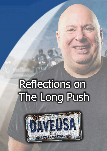## **Reflections on** The Long Push

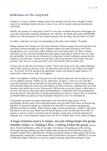## **Reflections on The Long Push**

Seeing as I've done a number of longer pushes here and there over the years I thought I'd share some of my unending wisdom with you. A note, if you will, for mental, emotional and physical well-being.

Initially, the romance of a long push is sweet. It's very easy to imagine the growl of the engine, the warm sun, the beautiful landscape flashing by, the cold beer,..the simple and careless FREEDOM! Believe me. The anticipation of it all is almost as good as the real thing. The trip itself is a GAS!!!

In reality, a long haul is at times very demanding on the mind, soul and body. I'll explain.

Riding someone else's Harley into The Great Unknown will drain energy from your body like a hot wind sucks moisture through your skin. It happens without you really knowing it. We'll drive through places we've never been, traffic situations we're not really used to etc. Risk of animalencounters are real. Enormous thunderstorms may appear, roads may be covered with rock, sand, dirt and pebbles. We may not see civilization for a long time. In these conditions a person has the tendency to become tense. Tension tires you like a work-out at the gym. You'll notice this every evening: "shit, why am I so beat and tired?" you'll ask yourself. Now you know why.

At times one can also feel a bit anxious, worried. "So far from home, such a big, empty landscape, what if there's gravel on the next curve? Are there deer in the woods? Look at those rain-clouds!" etc. No worries. We'll be driving at the speed-limit, calmly, and taking no stupid chances. I'll always know where we are. And, we're together.

When I was eighteen I could go to the gym every day and party hard every nite for days in a row. I'm not eighteen anymore. Neither are you. These days, if I party 2, 3 days in a row I feel like horse-shit both physically and mentally for days afterwards. The Road is a harsh mistress. Being tired and super hung-over on the road will weigh on you like a lead suit, compiling with every mile, relentless, and, believe me, no fun. Driving up to 350 Km a day, every day, leaves us little time for recovery. My bad-ass, biker party-mode recommendation is: moderation. We'll be pounding beer every nite,.but let's limit the shots of Tequila and perhaps go to bed at a "decent" hour. (I sound like my Mother) Blow-out parties can be pre-planned. Sleep-ins as well. You will thank me.

Long pushes can easily wear upon relationships faster than shit through a goose. I'm no psychologist, but the scope of The Long Haul messes with your head. Petty issues can become big Big BIG! At some point during our wonderful tour, there WILL be incidents and arguments, probably over little or nothing. When irritation, anger, mistrust, paranoia etc. wields it's ugly head, talk about it at the next stop. Many times the Road Captain, in this case ME, gets lots of shit. I'll prepare as well as I can for us, but there may be mistakes, wrong-turns or missed attractions etc. along the way. I'm not Superman, please work with me. It's normal. Don't worry, mahn,.be happy!

## A huge irritation-source is tempo, not just riding-tempo but groupmember tempo i.e, finding a flow, a timing within the group. We are

many. Normal mathematics, oddly, do not apply. For instance, take getting up in the morning, showering, dressing, packing your bike, having coffee, assing-up and driving off as a group for example? Simple? One would think that. Seeing as the group consists of many people, this activity, mathematically, should take 13 times longer than if performed by one person. WRONG. It can take 47,000 times longer! Whenever we move as a group: mornings (especially mornings!!!), gas